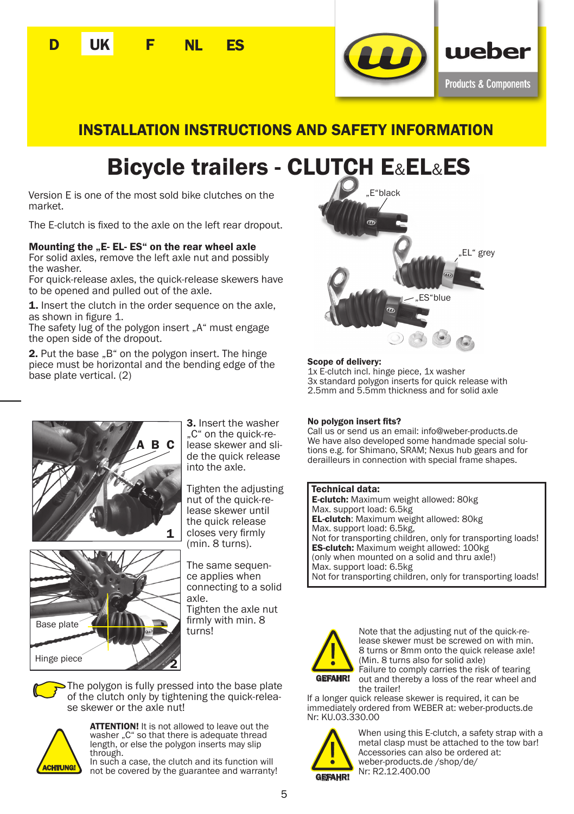



## INSTALLATION INSTRUCTIONS AND SAFETY INFORMATION

# Bicycle trailers - CLUTCH E&EL&ES

Version E is one of the most sold bike clutches on the market.

The E-clutch is fixed to the axle on the left rear dropout.

### Mounting the ...E- EL- ES" on the rear wheel axle

For solid axles, remove the left axle nut and possibly the washer.

For quick-release axles, the quick-release skewers have to be opened and pulled out of the axle.

1. Insert the clutch in the order sequence on the axle, as shown in figure 1.

The safety lug of the polygon insert "A" must engage the open side of the dropout.

2. Put the base "B" on the polygon insert. The hinge piece must be horizontal and the bending edge of the base plate vertical. (2)



3. Insert the washer ..C" on the quick-release skewer and slide the quick release into the axle.

Tighten the adjusting nut of the quick-release skewer until the quick release closes very firmly (min. 8 turns).



The same sequence applies when connecting to a solid axle.

Tighten the axle nut firmly with min. 8 turns!

The polygon is fully pressed into the base plate of the clutch only by tightening the quick-release skewer or the axle nut!



**ATTENTION!** It is not allowed to leave out the washer ..C" so that there is adequate thread length, or else the polygon inserts may slip through.

In such a case, the clutch and its function will **CHTUNG!** IT SUCT a case, the clutch and its function will<br>not be covered by the guarantee and warranty!



### Scope of delivery:

1x E-clutch incl. hinge piece, 1x washer 3x standard polygon inserts for quick release with 2.5mm and 5.5mm thickness and for solid axle

#### No polygon insert fits?

Call us or send us an email: info@weber-products.de tions e.g. for Shimano, SRAM; Nexus hub gears and for derailleurs in connection with special frame shapes.

#### Technical data:

E-clutch: Maximum weight allowed: 80kg Max. support load: 6.5kg EL-clutch: Maximum weight allowed: 80kg Max. support load: 6.5kg, Not for transporting children, only for transporting loads! ES-clutch: Maximum weight allowed: 100kg (only when mounted on a solid and thru axle!) Max. support load: 6.5kg Not for transporting children, only for transporting loads!



Note that the adjusting nut of the quick-release skewer must be screwed on with min. 8 turns or 8mm onto the quick release axle! (Min. 8 turns also for solid axle) Failure to comply carries the risk of tearing

out and thereby a loss of the rear wheel and the trailer!

If a longer quick release skewer is required, it can be immediately ordered from WEBER at: weber-products.de Nr: KU.03.330.00



When using this E-clutch, a safety strap with a metal clasp must be attached to the tow bar! Accessories can also be ordered at: weber-products.de /shop/de/ Nr: R2.12.400.00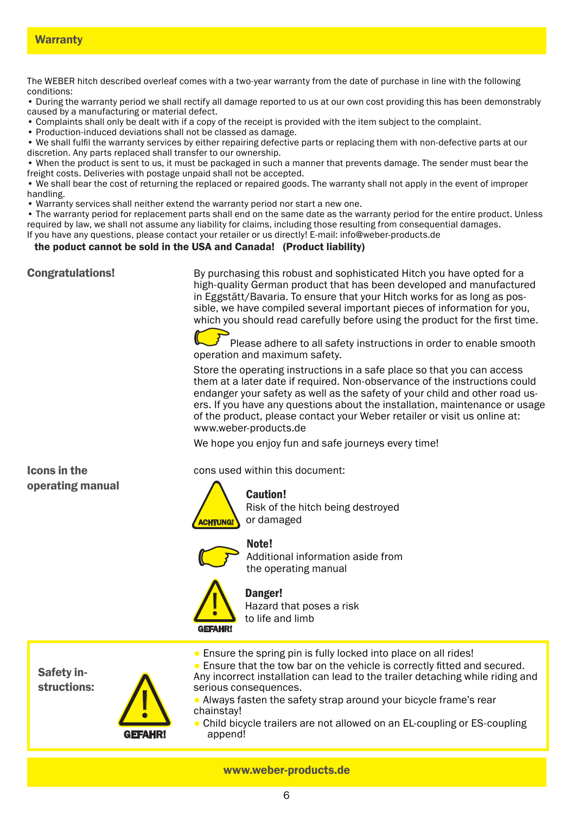The WEBER hitch described overleaf comes with a two-year warranty from the date of purchase in line with the following conditions:

• During the warranty period we shall rectify all damage reported to us at our own cost providing this has been demonstrably caused by a manufacturing or material defect.

- Complaints shall only be dealt with if a copy of the receipt is provided with the item subject to the complaint.
- Production-induced deviations shall not be classed as damage.

• We shall fulfil the warranty services by either repairing defective parts or replacing them with non-defective parts at our discretion. Any parts replaced shall transfer to our ownership.

• When the product is sent to us, it must be packaged in such a manner that prevents damage. The sender must bear the freight costs. Deliveries with postage unpaid shall not be accepted.

• We shall bear the cost of returning the replaced or repaired goods. The warranty shall not apply in the event of improper handling.

• Warranty services shall neither extend the warranty period nor start a new one.

• The warranty period for replacement parts shall end on the same date as the warranty period for the entire product. Unless required by law, we shall not assume any liability for claims, including those resulting from consequential damages. If you have any questions, please contact your retailer or us directly! E-mail: info@weber-products.de

### the poduct cannot be sold in the USA and Canada! (Product liability)

Congratulations!

By purchasing this robust and sophisticated Hitch you have opted for a high-quality German product that has been developed and manufactured in Eggstätt/Bavaria. To ensure that your Hitch works for as long as possible, we have compiled several important pieces of information for you, which you should read carefully before using the product for the first time.

Please adhere to all safety instructions in order to enable smooth operation and maximum safety.

Store the operating instructions in a safe place so that you can access them at a later date if required. Non-observance of the instructions could endanger your safety as well as the safety of your child and other road users. If you have any questions about the installation, maintenance or usage of the product, please contact your Weber retailer or visit us online at: www.weber-products.de

We hope you enjoy fun and safe journeys every time!

Icons in the operating manual cons used within this document:



Caution! Risk of the hitch being destroyed or damaged





Additional information aside from the operating manual

# |<br>|<br>| GEFAHR!

Danger! Hazard that poses a risk to life and limb

Safety instructions:



● Ensure the spring pin is fully locked into place on all rides! ● Ensure that the tow bar on the vehicle is correctly fitted and secured. Any incorrect installation can lead to the trailer detaching while riding and serious consequences.

Always fasten the safety strap around your bicycle frame's rear chainstay!

Child bicycle trailers are not allowed on an EL-coupling or ES-coupling append!

www.weber-products.de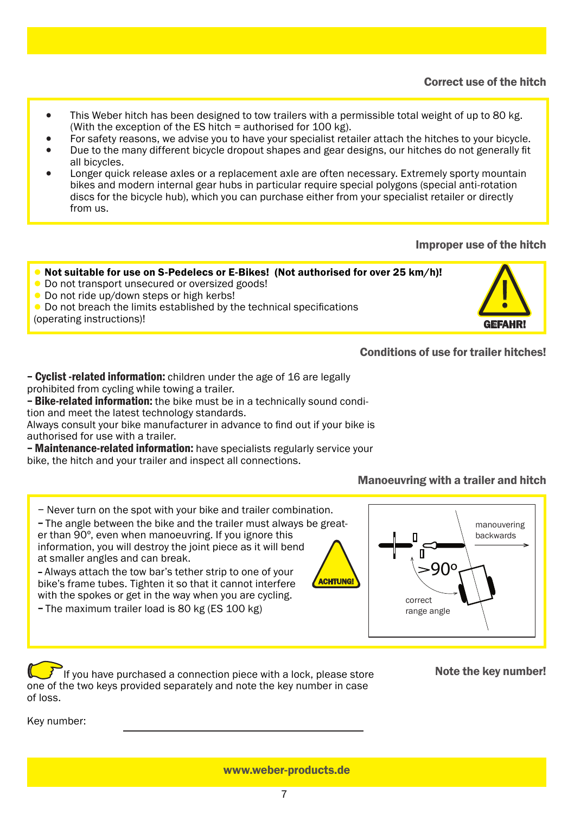- This Weber hitch has been designed to tow trailers with a permissible total weight of up to 80 kg. (With the exception of the ES hitch = authorised for 100 kg).
- For safety reasons, we advise you to have your specialist retailer attach the hitches to your bicycle.
- Due to the many different bicycle dropout shapes and gear designs, our hitches do not generally fit all bicycles.
- Longer quick release axles or a replacement axle are often necessary. Extremely sporty mountain bikes and modern internal gear hubs in particular require special polygons (special anti-rotation discs for the bicycle hub), which you can purchase either from your specialist retailer or directly from us.

## Improper use of the hitch

<u>|</u>

GEFAHR!

## ● Not suitable for use on S-Pedelecs or E-Bikes! (Not authorised for over 25 km/h)!

- Do not transport unsecured or oversized goods!
- Do not ride up/down steps or high kerbs!
- Do not breach the limits established by the technical specifications
- (operating instructions)!

## Conditions of use for trailer hitches!

− Cyclist -related information: children under the age of 16 are legally prohibited from cycling while towing a trailer.

− Bike-related information: the bike must be in a technically sound condition and meet the latest technology standards.

Always consult your bike manufacturer in advance to find out if your bike is authorised for use with a trailer.

− Maintenance-related information: have specialists regularly service your bike, the hitch and your trailer and inspect all connections.

## Manoeuvring with a trailer and hitch

− Never turn on the spot with your bike and trailer combination.

− The angle between the bike and the trailer must always be greater than 90º, even when manoeuvring. If you ignore this information, you will destroy the joint piece as it will bend at smaller angles and can break.

– Always attach the tow bar's tether strip to one of your bike's frame tubes. Tighten it so that it cannot interfere with the spokes or get in the way when you are cycling.

− The maximum trailer load is 80 kg (ES 100 kg)



If you have purchased a connection piece with a lock, please store  $\blacksquare$  Note the key number! one of the two keys provided separately and note the key number in case of loss.

Key number:

www.weber-products.de